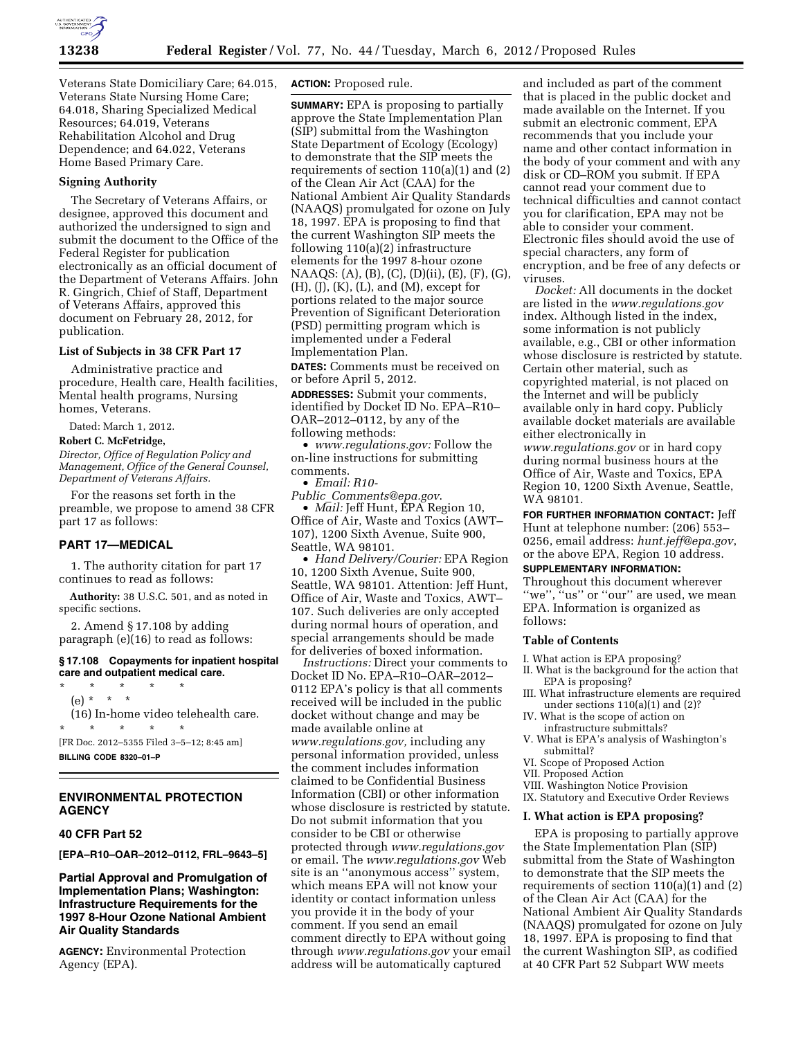

Veterans State Domiciliary Care; 64.015, Veterans State Nursing Home Care; 64.018, Sharing Specialized Medical Resources; 64.019, Veterans Rehabilitation Alcohol and Drug Dependence; and 64.022, Veterans Home Based Primary Care.

#### **Signing Authority**

The Secretary of Veterans Affairs, or designee, approved this document and authorized the undersigned to sign and submit the document to the Office of the Federal Register for publication electronically as an official document of the Department of Veterans Affairs. John R. Gingrich, Chief of Staff, Department of Veterans Affairs, approved this document on February 28, 2012, for publication.

#### **List of Subjects in 38 CFR Part 17**

Administrative practice and procedure, Health care, Health facilities, Mental health programs, Nursing homes, Veterans.

Dated: March 1, 2012.

# **Robert C. McFetridge,**

*Director, Office of Regulation Policy and Management, Office of the General Counsel, Department of Veterans Affairs.* 

For the reasons set forth in the preamble, we propose to amend 38 CFR part 17 as follows:

### **PART 17—MEDICAL**

1. The authority citation for part 17 continues to read as follows:

**Authority:** 38 U.S.C. 501, and as noted in specific sections.

2. Amend § 17.108 by adding paragraph (e)(16) to read as follows:

#### **§ 17.108 Copayments for inpatient hospital care and outpatient medical care.**

\* \* \* \* \* (e) \* \* \* (16) In-home video telehealth care. \* \* \* \* \*

[FR Doc. 2012–5355 Filed 3–5–12; 8:45 am] **BILLING CODE 8320–01–P** 

# **ENVIRONMENTAL PROTECTION AGENCY**

# **40 CFR Part 52**

**[EPA–R10–OAR–2012–0112, FRL–9643–5]** 

# **Partial Approval and Promulgation of Implementation Plans; Washington: Infrastructure Requirements for the 1997 8-Hour Ozone National Ambient Air Quality Standards**

**AGENCY:** Environmental Protection Agency (EPA).

# **ACTION:** Proposed rule.

**SUMMARY:** EPA is proposing to partially approve the State Implementation Plan (SIP) submittal from the Washington State Department of Ecology (Ecology) to demonstrate that the SIP meets the requirements of section 110(a)(1) and (2) of the Clean Air Act (CAA) for the National Ambient Air Quality Standards (NAAQS) promulgated for ozone on July 18, 1997. EPA is proposing to find that the current Washington SIP meets the following 110(a)(2) infrastructure elements for the 1997 8-hour ozone NAAQS: (A), (B), (C), (D)(ii), (E), (F), (G), (H), (J), (K), (L), and (M), except for portions related to the major source Prevention of Significant Deterioration (PSD) permitting program which is implemented under a Federal Implementation Plan.

**DATES:** Comments must be received on or before April 5, 2012.

**ADDRESSES:** Submit your comments, identified by Docket ID No. EPA–R10– OAR–2012–0112, by any of the following methods:

• *[www.regulations.gov:](http://www.regulations.gov)* Follow the on-line instructions for submitting comments.

• *Email: [R10-](mailto:R10-Public_Comments@epa.gov)* 

*Public*\_*[Comments@epa.gov](mailto:R10-Public_Comments@epa.gov)*. • *Mail:* Jeff Hunt, EPA Region 10, Office of Air, Waste and Toxics (AWT– 107), 1200 Sixth Avenue, Suite 900,

Seattle, WA 98101.

• *Hand Delivery/Courier:* EPA Region 10, 1200 Sixth Avenue, Suite 900, Seattle, WA 98101. Attention: Jeff Hunt, Office of Air, Waste and Toxics, AWT– 107. Such deliveries are only accepted during normal hours of operation, and special arrangements should be made for deliveries of boxed information.

*Instructions:* Direct your comments to Docket ID No. EPA–R10–OAR–2012– 0112 EPA's policy is that all comments received will be included in the public docket without change and may be made available online at *[www.regulations.gov,](http://www.regulations.gov)* including any personal information provided, unless the comment includes information claimed to be Confidential Business Information (CBI) or other information whose disclosure is restricted by statute. Do not submit information that you consider to be CBI or otherwise protected through *[www.regulations.gov](http://www.regulations.gov)*  or email. The *[www.regulations.gov](http://www.regulations.gov)* Web site is an ''anonymous access'' system, which means EPA will not know your identity or contact information unless you provide it in the body of your comment. If you send an email comment directly to EPA without going through *[www.regulations.gov](http://www.regulations.gov)* your email address will be automatically captured

and included as part of the comment that is placed in the public docket and made available on the Internet. If you submit an electronic comment, EPA recommends that you include your name and other contact information in the body of your comment and with any disk or CD–ROM you submit. If EPA cannot read your comment due to technical difficulties and cannot contact you for clarification, EPA may not be able to consider your comment. Electronic files should avoid the use of special characters, any form of encryption, and be free of any defects or viruses.

*Docket:* All documents in the docket are listed in the *[www.regulations.gov](http://www.regulations.gov)*  index. Although listed in the index, some information is not publicly available, e.g., CBI or other information whose disclosure is restricted by statute. Certain other material, such as copyrighted material, is not placed on the Internet and will be publicly available only in hard copy. Publicly available docket materials are available either electronically in *[www.regulations.gov](http://www.regulations.gov)* or in hard copy during normal business hours at the Office of Air, Waste and Toxics, EPA Region 10, 1200 Sixth Avenue, Seattle, WA 98101.

**FOR FURTHER INFORMATION CONTACT:** Jeff Hunt at telephone number: (206) 553– 0256, email address: *[hunt.jeff@epa.gov](mailto:hunt.jeff@epa.gov)*, or the above EPA, Region 10 address.

# **SUPPLEMENTARY INFORMATION:**

Throughout this document wherever ''we'', ''us'' or ''our'' are used, we mean EPA. Information is organized as follows:

#### **Table of Contents**

I. What action is EPA proposing?

- II. What is the background for the action that EPA is proposing?
- III. What infrastructure elements are required under sections 110(a)(1) and (2)?
- IV. What is the scope of action on infrastructure submittals?
- V. What is EPA's analysis of Washington's submittal?
- VI. Scope of Proposed Action
- VII. Proposed Action
- VIII. Washington Notice Provision
- IX. Statutory and Executive Order Reviews

# **I. What action is EPA proposing?**

EPA is proposing to partially approve the State Implementation Plan (SIP) submittal from the State of Washington to demonstrate that the SIP meets the requirements of section 110(a)(1) and (2) of the Clean Air Act (CAA) for the National Ambient Air Quality Standards (NAAQS) promulgated for ozone on July 18, 1997. EPA is proposing to find that the current Washington SIP, as codified at 40 CFR Part 52 Subpart WW meets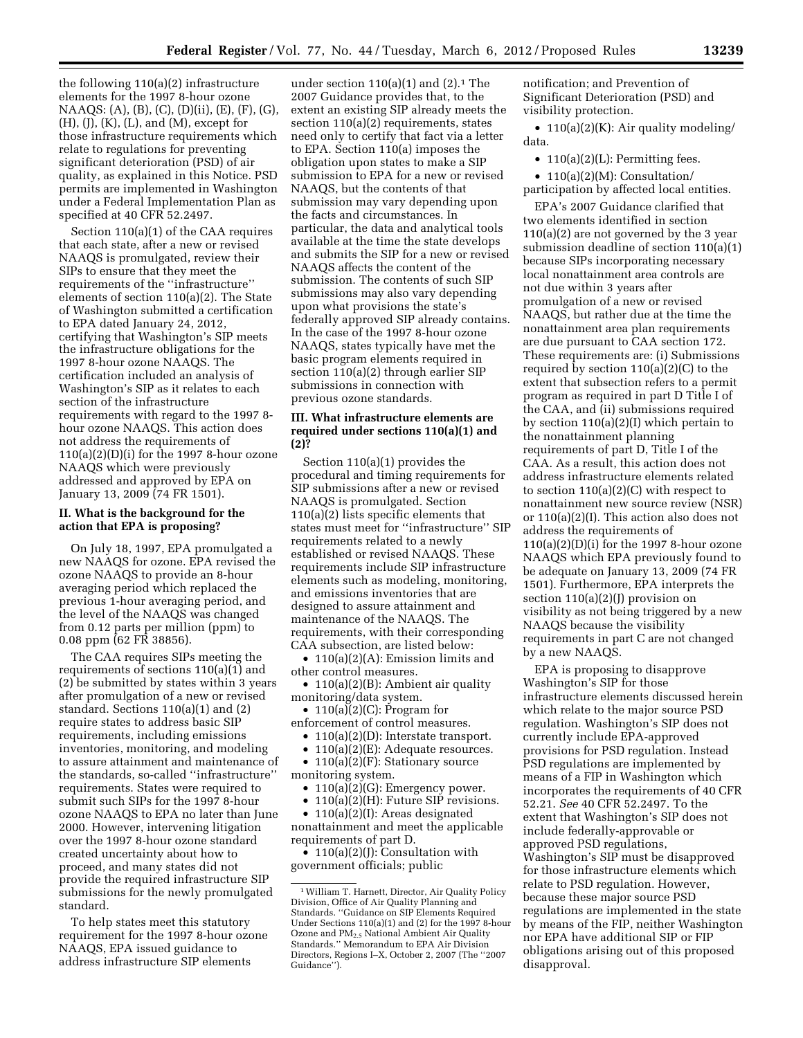the following 110(a)(2) infrastructure elements for the 1997 8-hour ozone NAAQS: (A), (B), (C), (D)(ii), (E), (F), (G), (H), (J), (K), (L), and (M), except for those infrastructure requirements which relate to regulations for preventing significant deterioration (PSD) of air quality, as explained in this Notice. PSD permits are implemented in Washington under a Federal Implementation Plan as specified at 40 CFR 52.2497.

Section 110(a)(1) of the CAA requires that each state, after a new or revised NAAQS is promulgated, review their SIPs to ensure that they meet the requirements of the ''infrastructure'' elements of section 110(a)(2). The State of Washington submitted a certification to EPA dated January 24, 2012, certifying that Washington's SIP meets the infrastructure obligations for the 1997 8-hour ozone NAAQS. The certification included an analysis of Washington's SIP as it relates to each section of the infrastructure requirements with regard to the 1997 8 hour ozone NAAQS. This action does not address the requirements of 110(a)(2)(D)(i) for the 1997 8-hour ozone NAAQS which were previously addressed and approved by EPA on January 13, 2009 (74 FR 1501).

# **II. What is the background for the action that EPA is proposing?**

On July 18, 1997, EPA promulgated a new NAAQS for ozone. EPA revised the ozone NAAQS to provide an 8-hour averaging period which replaced the previous 1-hour averaging period, and the level of the NAAQS was changed from 0.12 parts per million (ppm) to 0.08 ppm (62 FR 38856).

The CAA requires SIPs meeting the requirements of sections 110(a)(1) and (2) be submitted by states within 3 years after promulgation of a new or revised standard. Sections 110(a)(1) and (2) require states to address basic SIP requirements, including emissions inventories, monitoring, and modeling to assure attainment and maintenance of the standards, so-called ''infrastructure'' requirements. States were required to submit such SIPs for the 1997 8-hour ozone NAAQS to EPA no later than June 2000. However, intervening litigation over the 1997 8-hour ozone standard created uncertainty about how to proceed, and many states did not provide the required infrastructure SIP submissions for the newly promulgated standard.

To help states meet this statutory requirement for the 1997 8-hour ozone NAAQS, EPA issued guidance to address infrastructure SIP elements

under section  $110(a)(1)$  and  $(2).<sup>1</sup>$  The 2007 Guidance provides that, to the extent an existing SIP already meets the section 110(a)(2) requirements, states need only to certify that fact via a letter to EPA. Section 110(a) imposes the obligation upon states to make a SIP submission to EPA for a new or revised NAAQS, but the contents of that submission may vary depending upon the facts and circumstances. In particular, the data and analytical tools available at the time the state develops and submits the SIP for a new or revised NAAQS affects the content of the submission. The contents of such SIP submissions may also vary depending upon what provisions the state's federally approved SIP already contains. In the case of the 1997 8-hour ozone NAAQS, states typically have met the basic program elements required in section 110(a)(2) through earlier SIP submissions in connection with previous ozone standards.

# **III. What infrastructure elements are required under sections 110(a)(1) and (2)?**

Section 110(a)(1) provides the procedural and timing requirements for SIP submissions after a new or revised NAAQS is promulgated. Section 110(a)(2) lists specific elements that states must meet for ''infrastructure'' SIP requirements related to a newly established or revised NAAQS. These requirements include SIP infrastructure elements such as modeling, monitoring, and emissions inventories that are designed to assure attainment and maintenance of the NAAQS. The requirements, with their corresponding CAA subsection, are listed below:

• 110(a)(2)(A): Emission limits and other control measures.

• 110(a)(2)(B): Ambient air quality monitoring/data system.

•  $110(a)(2)(C)$ : Program for enforcement of control measures.

• 110(a)(2)(D): Interstate transport.

• 110(a)(2)(E): Adequate resources.

• 110(a)(2)(F): Stationary source monitoring system.

- $110(a)(2)(G)$ : Emergency power.
- 110(a)(2)(H): Future SIP revisions.

• 110(a)(2)(I): Areas designated nonattainment and meet the applicable requirements of part D. • 110(a)(2)(J): Consultation with

government officials; public

notification; and Prevention of Significant Deterioration (PSD) and visibility protection.

• 110(a)(2)(K): Air quality modeling/ data.

• 110(a)(2)(L): Permitting fees.

• 110(a)(2)(M): Consultation/ participation by affected local entities.

EPA's 2007 Guidance clarified that two elements identified in section 110(a)(2) are not governed by the 3 year submission deadline of section 110(a)(1) because SIPs incorporating necessary local nonattainment area controls are not due within 3 years after promulgation of a new or revised NAAQS, but rather due at the time the nonattainment area plan requirements are due pursuant to CAA section 172. These requirements are: (i) Submissions required by section  $110(a)(2)(C)$  to the extent that subsection refers to a permit program as required in part D Title I of the CAA, and (ii) submissions required by section 110(a)(2)(I) which pertain to the nonattainment planning requirements of part D, Title I of the CAA. As a result, this action does not address infrastructure elements related to section  $110(a)(2)(C)$  with respect to nonattainment new source review (NSR) or 110(a)(2)(I). This action also does not address the requirements of  $110(a)(2)(D)(i)$  for the 1997 8-hour ozone NAAQS which EPA previously found to be adequate on January 13, 2009 (74 FR 1501). Furthermore, EPA interprets the section  $110(a)(2)(1)$  provision on visibility as not being triggered by a new NAAQS because the visibility requirements in part C are not changed by a new NAAQS.

EPA is proposing to disapprove Washington's SIP for those infrastructure elements discussed herein which relate to the major source PSD regulation. Washington's SIP does not currently include EPA-approved provisions for PSD regulation. Instead PSD regulations are implemented by means of a FIP in Washington which incorporates the requirements of 40 CFR 52.21. *See* 40 CFR 52.2497. To the extent that Washington's SIP does not include federally-approvable or approved PSD regulations, Washington's SIP must be disapproved for those infrastructure elements which relate to PSD regulation. However, because these major source PSD regulations are implemented in the state by means of the FIP, neither Washington nor EPA have additional SIP or FIP obligations arising out of this proposed disapproval.

<sup>1</sup>William T. Harnett, Director, Air Quality Policy Division, Office of Air Quality Planning and Standards. ''Guidance on SIP Elements Required Under Sections 110(a)(1) and (2) for the 1997 8-hour Ozone and PM2.5 National Ambient Air Quality Standards.'' Memorandum to EPA Air Division Directors, Regions I–X, October 2, 2007 (The ''2007 Guidance'').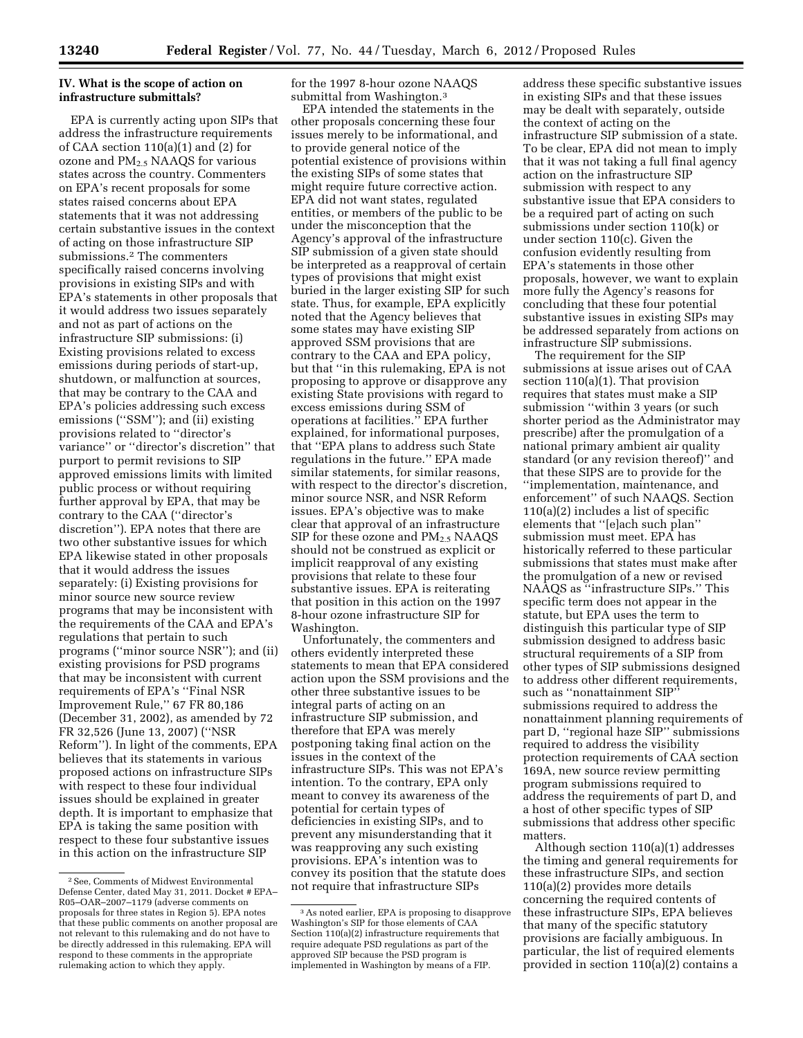# **IV. What is the scope of action on infrastructure submittals?**

EPA is currently acting upon SIPs that address the infrastructure requirements of CAA section 110(a)(1) and (2) for ozone and  $PM<sub>2.5</sub> NAAGS$  for various states across the country. Commenters on EPA's recent proposals for some states raised concerns about EPA statements that it was not addressing certain substantive issues in the context of acting on those infrastructure SIP submissions.2 The commenters specifically raised concerns involving provisions in existing SIPs and with EPA's statements in other proposals that it would address two issues separately and not as part of actions on the infrastructure SIP submissions: (i) Existing provisions related to excess emissions during periods of start-up, shutdown, or malfunction at sources, that may be contrary to the CAA and EPA's policies addressing such excess emissions ("SSM"); and (ii) existing provisions related to ''director's variance'' or ''director's discretion'' that purport to permit revisions to SIP approved emissions limits with limited public process or without requiring further approval by EPA, that may be contrary to the CAA (''director's discretion''). EPA notes that there are two other substantive issues for which EPA likewise stated in other proposals that it would address the issues separately: (i) Existing provisions for minor source new source review programs that may be inconsistent with the requirements of the CAA and EPA's regulations that pertain to such programs (''minor source NSR''); and (ii) existing provisions for PSD programs that may be inconsistent with current requirements of EPA's ''Final NSR Improvement Rule,'' 67 FR 80,186 (December 31, 2002), as amended by 72 FR 32,526 (June 13, 2007) (''NSR Reform''). In light of the comments, EPA believes that its statements in various proposed actions on infrastructure SIPs with respect to these four individual issues should be explained in greater depth. It is important to emphasize that EPA is taking the same position with respect to these four substantive issues in this action on the infrastructure SIP

for the 1997 8-hour ozone NAAQS submittal from Washington.3

EPA intended the statements in the other proposals concerning these four issues merely to be informational, and to provide general notice of the potential existence of provisions within the existing SIPs of some states that might require future corrective action. EPA did not want states, regulated entities, or members of the public to be under the misconception that the Agency's approval of the infrastructure SIP submission of a given state should be interpreted as a reapproval of certain types of provisions that might exist buried in the larger existing SIP for such state. Thus, for example, EPA explicitly noted that the Agency believes that some states may have existing SIP approved SSM provisions that are contrary to the CAA and EPA policy, but that ''in this rulemaking, EPA is not proposing to approve or disapprove any existing State provisions with regard to excess emissions during SSM of operations at facilities.'' EPA further explained, for informational purposes, that ''EPA plans to address such State regulations in the future.'' EPA made similar statements, for similar reasons, with respect to the director's discretion, minor source NSR, and NSR Reform issues. EPA's objective was to make clear that approval of an infrastructure SIP for these ozone and  $PM_{2.5}$  NAAQS should not be construed as explicit or implicit reapproval of any existing provisions that relate to these four substantive issues. EPA is reiterating that position in this action on the 1997 8-hour ozone infrastructure SIP for Washington.

Unfortunately, the commenters and others evidently interpreted these statements to mean that EPA considered action upon the SSM provisions and the other three substantive issues to be integral parts of acting on an infrastructure SIP submission, and therefore that EPA was merely postponing taking final action on the issues in the context of the infrastructure SIPs. This was not EPA's intention. To the contrary, EPA only meant to convey its awareness of the potential for certain types of deficiencies in existing SIPs, and to prevent any misunderstanding that it was reapproving any such existing provisions. EPA's intention was to convey its position that the statute does not require that infrastructure SIPs

address these specific substantive issues in existing SIPs and that these issues may be dealt with separately, outside the context of acting on the infrastructure SIP submission of a state. To be clear, EPA did not mean to imply that it was not taking a full final agency action on the infrastructure SIP submission with respect to any substantive issue that EPA considers to be a required part of acting on such submissions under section 110(k) or under section 110(c). Given the confusion evidently resulting from EPA's statements in those other proposals, however, we want to explain more fully the Agency's reasons for concluding that these four potential substantive issues in existing SIPs may be addressed separately from actions on infrastructure SIP submissions.

The requirement for the SIP submissions at issue arises out of CAA section 110(a)(1). That provision requires that states must make a SIP submission ''within 3 years (or such shorter period as the Administrator may prescribe) after the promulgation of a national primary ambient air quality standard (or any revision thereof)'' and that these SIPS are to provide for the ''implementation, maintenance, and enforcement'' of such NAAQS. Section 110(a)(2) includes a list of specific elements that ''[e]ach such plan'' submission must meet. EPA has historically referred to these particular submissions that states must make after the promulgation of a new or revised NAAQS as ''infrastructure SIPs.'' This specific term does not appear in the statute, but EPA uses the term to distinguish this particular type of SIP submission designed to address basic structural requirements of a SIP from other types of SIP submissions designed to address other different requirements, such as ''nonattainment SIP'' submissions required to address the nonattainment planning requirements of part D, ''regional haze SIP'' submissions required to address the visibility protection requirements of CAA section 169A, new source review permitting program submissions required to address the requirements of part D, and a host of other specific types of SIP submissions that address other specific matters.

Although section 110(a)(1) addresses the timing and general requirements for these infrastructure SIPs, and section 110(a)(2) provides more details concerning the required contents of these infrastructure SIPs, EPA believes that many of the specific statutory provisions are facially ambiguous. In particular, the list of required elements provided in section 110(a)(2) contains a

<sup>2</sup>See, Comments of Midwest Environmental Defense Center, dated May 31, 2011. Docket # EPA– R05–OAR–2007–1179 (adverse comments on proposals for three states in Region 5). EPA notes that these public comments on another proposal are not relevant to this rulemaking and do not have to be directly addressed in this rulemaking. EPA will respond to these comments in the appropriate rulemaking action to which they apply.

<sup>3</sup>As noted earlier, EPA is proposing to disapprove Washington's SIP for those elements of CAA Section 110(a)(2) infrastructure requirements that require adequate PSD regulations as part of the approved SIP because the PSD program is implemented in Washington by means of a FIP.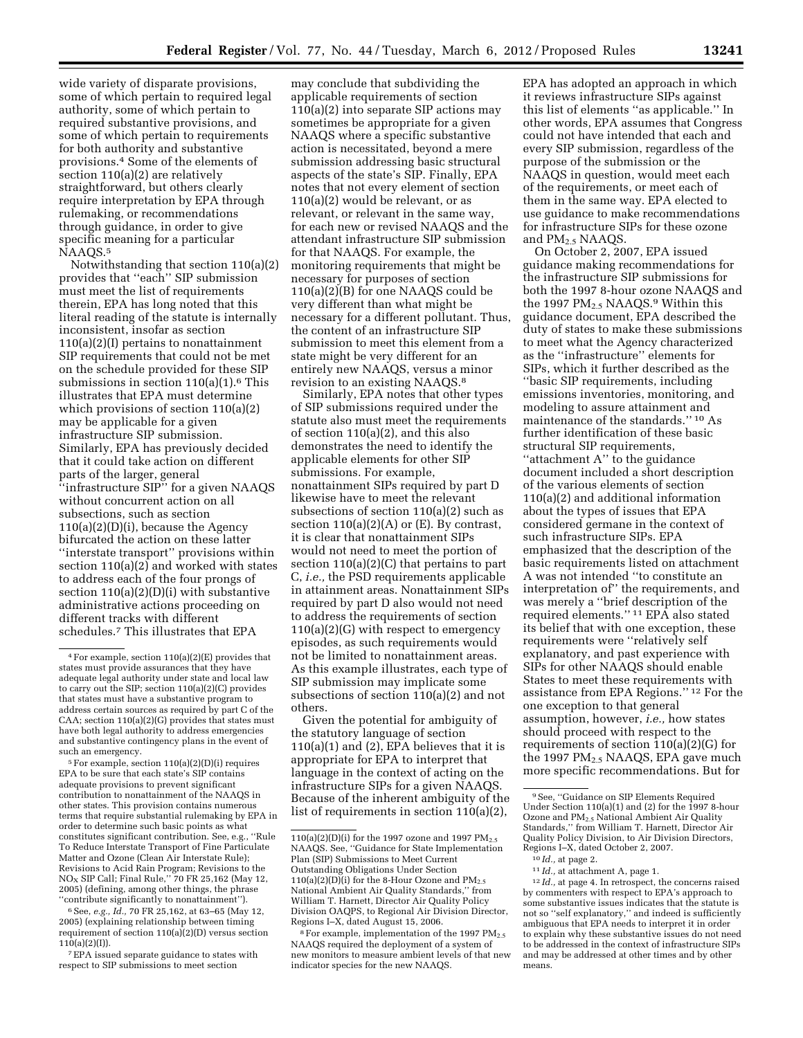wide variety of disparate provisions, some of which pertain to required legal authority, some of which pertain to required substantive provisions, and some of which pertain to requirements for both authority and substantive provisions.4 Some of the elements of section 110(a)(2) are relatively straightforward, but others clearly require interpretation by EPA through rulemaking, or recommendations through guidance, in order to give specific meaning for a particular NAAQS.5

Notwithstanding that section 110(a)(2) provides that ''each'' SIP submission must meet the list of requirements therein, EPA has long noted that this literal reading of the statute is internally inconsistent, insofar as section 110(a)(2)(I) pertains to nonattainment SIP requirements that could not be met on the schedule provided for these SIP submissions in section  $110(a)(1)$ .<sup>6</sup> This illustrates that EPA must determine which provisions of section 110(a)(2) may be applicable for a given infrastructure SIP submission. Similarly, EPA has previously decided that it could take action on different parts of the larger, general ''infrastructure SIP'' for a given NAAQS

without concurrent action on all subsections, such as section 110(a)(2)(D)(i), because the Agency bifurcated the action on these latter ''interstate transport'' provisions within section 110(a)(2) and worked with states to address each of the four prongs of section 110(a)(2)(D)(i) with substantive administrative actions proceeding on different tracks with different schedules.7 This illustrates that EPA

5For example, section 110(a)(2)(D)(i) requires EPA to be sure that each state's SIP contains adequate provisions to prevent significant contribution to nonattainment of the NAAQS in other states. This provision contains numerous terms that require substantial rulemaking by EPA in order to determine such basic points as what constitutes significant contribution. See, e.g., ''Rule To Reduce Interstate Transport of Fine Particulate Matter and Ozone (Clean Air Interstate Rule); Revisions to Acid Rain Program; Revisions to the<br>NO<sub>x</sub> SIP Call; Final Rule,'' 70 FR 25,162 (May 12, 2005) (defining, among other things, the phrase ''contribute significantly to nonattainment'').

6See, *e.g., Id.,* 70 FR 25,162, at 63–65 (May 12, 2005) (explaining relationship between timing requirement of section 110(a)(2)(D) versus section  $110(a)(2)(I)$ ).

7EPA issued separate guidance to states with respect to SIP submissions to meet section

may conclude that subdividing the applicable requirements of section 110(a)(2) into separate SIP actions may sometimes be appropriate for a given NAAQS where a specific substantive action is necessitated, beyond a mere submission addressing basic structural aspects of the state's SIP. Finally, EPA notes that not every element of section  $110(a)(2)$  would be relevant, or as relevant, or relevant in the same way, for each new or revised NAAQS and the attendant infrastructure SIP submission for that NAAQS. For example, the monitoring requirements that might be necessary for purposes of section 110(a)(2)(B) for one NAAQS could be very different than what might be necessary for a different pollutant. Thus, the content of an infrastructure SIP submission to meet this element from a state might be very different for an entirely new NAAQS, versus a minor revision to an existing NAAQS.8

Similarly, EPA notes that other types of SIP submissions required under the statute also must meet the requirements of section 110(a)(2), and this also demonstrates the need to identify the applicable elements for other SIP submissions. For example, nonattainment SIPs required by part D likewise have to meet the relevant subsections of section 110(a)(2) such as section  $110(a)(2)(A)$  or (E). By contrast, it is clear that nonattainment SIPs would not need to meet the portion of section 110(a)(2)(C) that pertains to part C, *i.e.,* the PSD requirements applicable in attainment areas. Nonattainment SIPs required by part D also would not need to address the requirements of section 110(a)(2)(G) with respect to emergency episodes, as such requirements would not be limited to nonattainment areas. As this example illustrates, each type of SIP submission may implicate some subsections of section 110(a)(2) and not others.

Given the potential for ambiguity of the statutory language of section 110(a)(1) and (2), EPA believes that it is appropriate for EPA to interpret that language in the context of acting on the infrastructure SIPs for a given NAAQS. Because of the inherent ambiguity of the list of requirements in section 110(a)(2),

EPA has adopted an approach in which it reviews infrastructure SIPs against this list of elements ''as applicable.'' In other words, EPA assumes that Congress could not have intended that each and every SIP submission, regardless of the purpose of the submission or the NAAQS in question, would meet each of the requirements, or meet each of them in the same way. EPA elected to use guidance to make recommendations for infrastructure SIPs for these ozone and  $PM<sub>2.5</sub> NAAQS$ .

On October 2, 2007, EPA issued guidance making recommendations for the infrastructure SIP submissions for both the 1997 8-hour ozone NAAQS and the 1997 PM2.5 NAAQS.9 Within this guidance document, EPA described the duty of states to make these submissions to meet what the Agency characterized as the ''infrastructure'' elements for SIPs, which it further described as the ''basic SIP requirements, including emissions inventories, monitoring, and modeling to assure attainment and maintenance of the standards.'' 10 As further identification of these basic structural SIP requirements, ''attachment A'' to the guidance document included a short description of the various elements of section 110(a)(2) and additional information about the types of issues that EPA considered germane in the context of such infrastructure SIPs. EPA emphasized that the description of the basic requirements listed on attachment A was not intended ''to constitute an interpretation of'' the requirements, and was merely a ''brief description of the required elements.'' 11 EPA also stated its belief that with one exception, these requirements were ''relatively self explanatory, and past experience with SIPs for other NAAQS should enable States to meet these requirements with assistance from EPA Regions.'' 12 For the one exception to that general assumption, however, *i.e.,* how states should proceed with respect to the requirements of section 110(a)(2)(G) for the 1997 PM2.5 NAAQS, EPA gave much more specific recommendations. But for

<sup>10</sup> *Id.*, at page 2.<br><sup>11</sup> *Id.*, at attachment A, page 1.<br><sup>12</sup> *Id.*, at page 4. In retrospect, the concerns raised by commenters with respect to EPA's approach to some substantive issues indicates that the statute is not so ''self explanatory,'' and indeed is sufficiently ambiguous that EPA needs to interpret it in order to explain why these substantive issues do not need to be addressed in the context of infrastructure SIPs and may be addressed at other times and by other means.

<sup>4</sup>For example, section 110(a)(2)(E) provides that states must provide assurances that they have adequate legal authority under state and local law to carry out the SIP; section 110(a)(2)(C) provides that states must have a substantive program to address certain sources as required by part C of the CAA; section  $110(a)(2)(G)$  provides that states must have both legal authority to address emergencies and substantive contingency plans in the event of such an emergency.

 $110(a)(2)(D)(i)$  for the 1997 ozone and 1997 PM<sub>2.5</sub> NAAQS. See, ''Guidance for State Implementation Plan (SIP) Submissions to Meet Current Outstanding Obligations Under Section 110(a)(2)(D)(i) for the 8-Hour Ozone and PM<sub>2.5</sub> National Ambient Air Quality Standards,'' from William T. Harnett, Director Air Quality Policy Division OAQPS, to Regional Air Division Director, Regions I–X, dated August 15, 2006.

<sup>&</sup>lt;sup>8</sup> For example, implementation of the 1997 PM<sub>2.5</sub> NAAQS required the deployment of a system of new monitors to measure ambient levels of that new indicator species for the new NAAQS.

<sup>9</sup>See, ''Guidance on SIP Elements Required Under Section  $110(a)(1)$  and  $(2)$  for the 1997 8-hour Ozone and PM2.5 National Ambient Air Quality Standards,'' from William T. Harnett, Director Air Quality Policy Division, to Air Division Directors,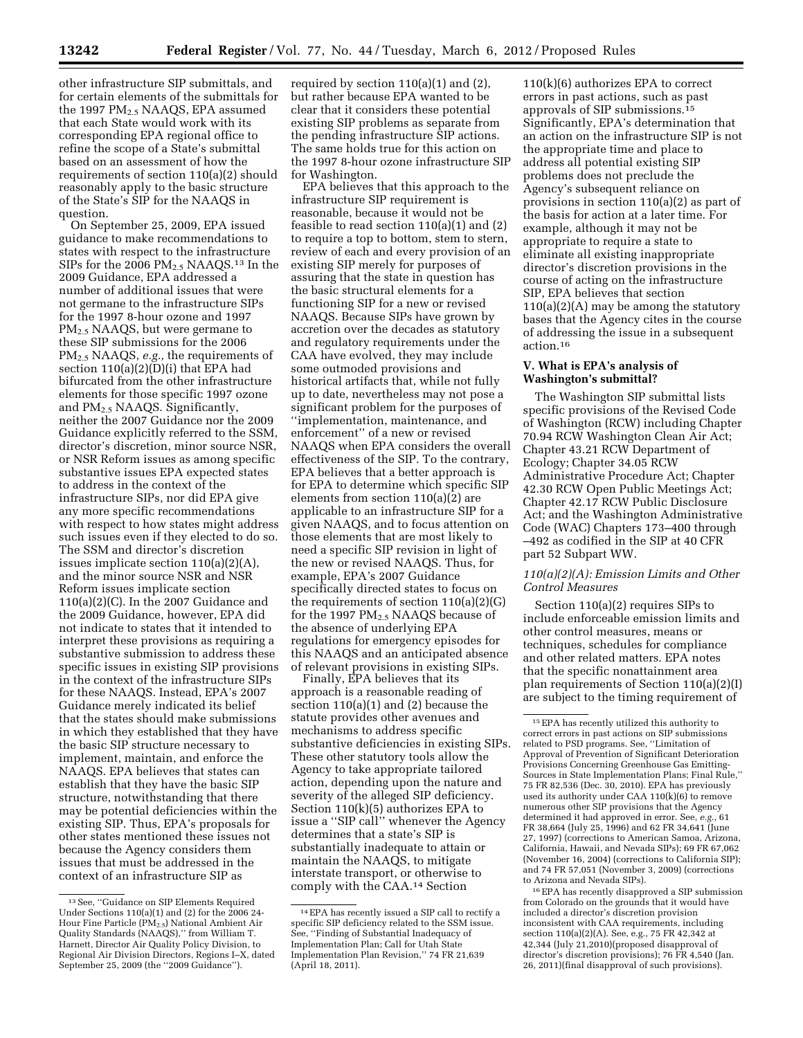other infrastructure SIP submittals, and for certain elements of the submittals for the 1997  $PM_{2.5}$  NAAQS, EPA assumed that each State would work with its corresponding EPA regional office to refine the scope of a State's submittal based on an assessment of how the requirements of section 110(a)(2) should reasonably apply to the basic structure of the State's SIP for the NAAQS in question.

On September 25, 2009, EPA issued guidance to make recommendations to states with respect to the infrastructure SIPs for the 2006 PM<sub>2.5</sub> NAAQS.<sup>13</sup> In the 2009 Guidance, EPA addressed a number of additional issues that were not germane to the infrastructure SIPs for the 1997 8-hour ozone and 1997 PM2.5 NAAQS, but were germane to these SIP submissions for the 2006 PM2.5 NAAQS, *e.g.,* the requirements of section 110(a)(2)(D)(i) that EPA had bifurcated from the other infrastructure elements for those specific 1997 ozone and  $PM<sub>2.5</sub> NAAQS.$  Significantly, neither the 2007 Guidance nor the 2009 Guidance explicitly referred to the SSM, director's discretion, minor source NSR, or NSR Reform issues as among specific substantive issues EPA expected states to address in the context of the infrastructure SIPs, nor did EPA give any more specific recommendations with respect to how states might address such issues even if they elected to do so. The SSM and director's discretion issues implicate section 110(a)(2)(A), and the minor source NSR and NSR Reform issues implicate section 110(a)(2)(C). In the 2007 Guidance and the 2009 Guidance, however, EPA did not indicate to states that it intended to interpret these provisions as requiring a substantive submission to address these specific issues in existing SIP provisions in the context of the infrastructure SIPs for these NAAQS. Instead, EPA's 2007 Guidance merely indicated its belief that the states should make submissions in which they established that they have the basic SIP structure necessary to implement, maintain, and enforce the NAAQS. EPA believes that states can establish that they have the basic SIP structure, notwithstanding that there may be potential deficiencies within the existing SIP. Thus, EPA's proposals for other states mentioned these issues not because the Agency considers them issues that must be addressed in the context of an infrastructure SIP as

required by section 110(a)(1) and (2), but rather because EPA wanted to be clear that it considers these potential existing SIP problems as separate from the pending infrastructure SIP actions. The same holds true for this action on the 1997 8-hour ozone infrastructure SIP for Washington.

EPA believes that this approach to the infrastructure SIP requirement is reasonable, because it would not be feasible to read section 110(a)(1) and (2) to require a top to bottom, stem to stern, review of each and every provision of an existing SIP merely for purposes of assuring that the state in question has the basic structural elements for a functioning SIP for a new or revised NAAQS. Because SIPs have grown by accretion over the decades as statutory and regulatory requirements under the CAA have evolved, they may include some outmoded provisions and historical artifacts that, while not fully up to date, nevertheless may not pose a significant problem for the purposes of ''implementation, maintenance, and enforcement'' of a new or revised NAAQS when EPA considers the overall effectiveness of the SIP. To the contrary, EPA believes that a better approach is for EPA to determine which specific SIP elements from section 110(a)(2) are applicable to an infrastructure SIP for a given NAAQS, and to focus attention on those elements that are most likely to need a specific SIP revision in light of the new or revised NAAQS. Thus, for example, EPA's 2007 Guidance specifically directed states to focus on the requirements of section 110(a)(2)(G) for the 1997  $PM_{2.5}$  NAAQS because of the absence of underlying EPA regulations for emergency episodes for this NAAQS and an anticipated absence of relevant provisions in existing SIPs.

Finally, EPA believes that its approach is a reasonable reading of section 110(a)(1) and (2) because the statute provides other avenues and mechanisms to address specific substantive deficiencies in existing SIPs. These other statutory tools allow the Agency to take appropriate tailored action, depending upon the nature and severity of the alleged SIP deficiency. Section 110(k)(5) authorizes EPA to issue a ''SIP call'' whenever the Agency determines that a state's SIP is substantially inadequate to attain or maintain the NAAQS, to mitigate interstate transport, or otherwise to comply with the CAA.14 Section

110(k)(6) authorizes EPA to correct errors in past actions, such as past approvals of SIP submissions.15 Significantly, EPA's determination that an action on the infrastructure SIP is not the appropriate time and place to address all potential existing SIP problems does not preclude the Agency's subsequent reliance on provisions in section 110(a)(2) as part of the basis for action at a later time. For example, although it may not be appropriate to require a state to eliminate all existing inappropriate director's discretion provisions in the course of acting on the infrastructure SIP, EPA believes that section  $110(a)(2)(A)$  may be among the statutory bases that the Agency cites in the course of addressing the issue in a subsequent action.16

# **V. What is EPA's analysis of Washington's submittal?**

The Washington SIP submittal lists specific provisions of the Revised Code of Washington (RCW) including Chapter 70.94 RCW Washington Clean Air Act; Chapter 43.21 RCW Department of Ecology; Chapter 34.05 RCW Administrative Procedure Act; Chapter 42.30 RCW Open Public Meetings Act; Chapter 42.17 RCW Public Disclosure Act; and the Washington Administrative Code (WAC) Chapters 173–400 through –492 as codified in the SIP at 40 CFR part 52 Subpart WW.

# *110(a)(2)(A): Emission Limits and Other Control Measures*

Section 110(a)(2) requires SIPs to include enforceable emission limits and other control measures, means or techniques, schedules for compliance and other related matters. EPA notes that the specific nonattainment area plan requirements of Section 110(a)(2)(I) are subject to the timing requirement of

16EPA has recently disapproved a SIP submission from Colorado on the grounds that it would have included a director's discretion provision inconsistent with CAA requirements, including section 110(a)(2)(A). See, e.g., 75 FR 42,342 at 42,344 (July 21,2010)(proposed disapproval of director's discretion provisions); 76 FR 4,540 (Jan. 26, 2011)(final disapproval of such provisions).

<sup>13</sup>See, ''Guidance on SIP Elements Required Under Sections 110(a)(1) and (2) for the 2006 24- Hour Fine Particle (PM2.5) National Ambient Air Quality Standards (NAAQS),'' from William T. Harnett, Director Air Quality Policy Division, to Regional Air Division Directors, Regions I–X, dated September 25, 2009 (the ''2009 Guidance'').

<sup>14</sup>EPA has recently issued a SIP call to rectify a specific SIP deficiency related to the SSM issue. See, ''Finding of Substantial Inadequacy of Implementation Plan; Call for Utah State Implementation Plan Revision,'' 74 FR 21,639 (April 18, 2011).

<sup>15</sup>EPA has recently utilized this authority to correct errors in past actions on SIP submissions related to PSD programs. See, ''Limitation of Approval of Prevention of Significant Deterioration Provisions Concerning Greenhouse Gas Emitting-Sources in State Implementation Plans; Final Rule,'' 75 FR 82,536 (Dec. 30, 2010). EPA has previously used its authority under CAA  $110(k)(6)$  to remove numerous other SIP provisions that the Agency determined it had approved in error. See, *e.g.,* 61 FR 38,664 (July 25, 1996) and 62 FR 34,641 (June 27, 1997) (corrections to American Samoa, Arizona, California, Hawaii, and Nevada SIPs); 69 FR 67,062 (November 16, 2004) (corrections to California SIP); and 74 FR 57,051 (November 3, 2009) (corrections to Arizona and Nevada SIPs).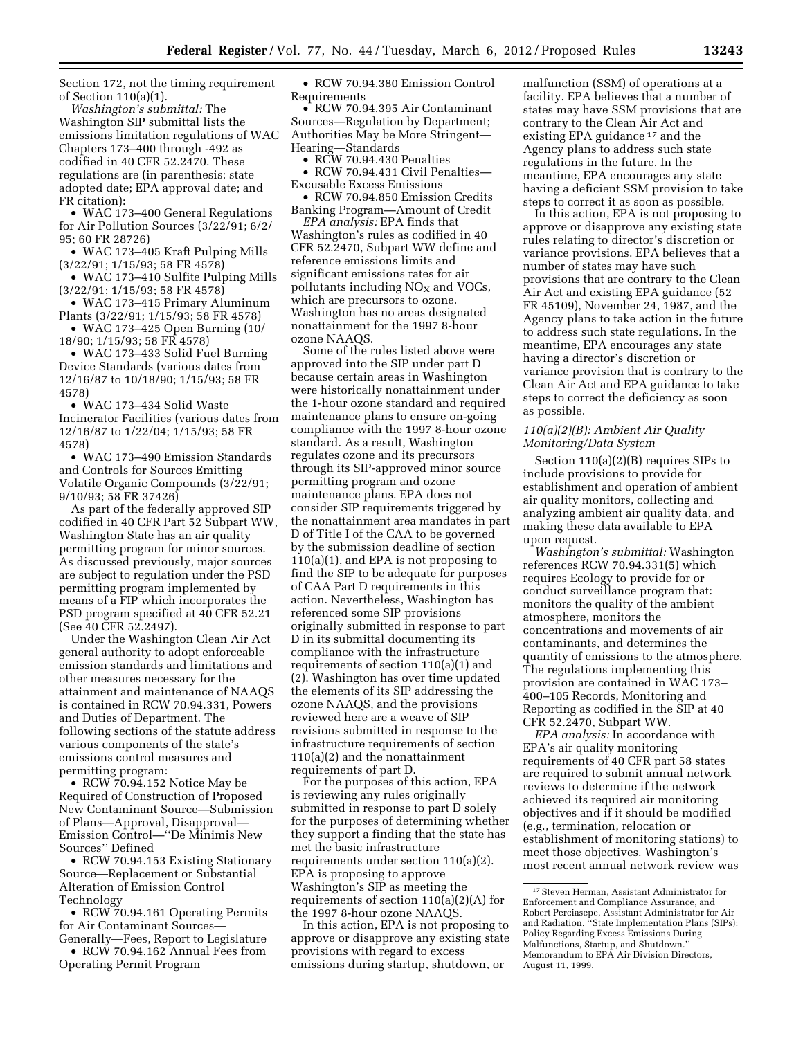Section 172, not the timing requirement of Section 110(a)(1).

*Washington's submittal:* The Washington SIP submittal lists the emissions limitation regulations of WAC Chapters 173–400 through -492 as codified in 40 CFR 52.2470. These regulations are (in parenthesis: state adopted date; EPA approval date; and FR citation):

• WAC 173–400 General Regulations for Air Pollution Sources (3/22/91; 6/2/ 95; 60 FR 28726)

• WAC 173–405 Kraft Pulping Mills (3/22/91; 1/15/93; 58 FR 4578)

• WAC 173–410 Sulfite Pulping Mills (3/22/91; 1/15/93; 58 FR 4578)

• WAC 173–415 Primary Aluminum Plants (3/22/91; 1/15/93; 58 FR 4578)

• WAC 173–425 Open Burning (10/ 18/90; 1/15/93; 58 FR 4578)

• WAC 173–433 Solid Fuel Burning Device Standards (various dates from 12/16/87 to 10/18/90; 1/15/93; 58 FR 4578)

• WAC 173–434 Solid Waste Incinerator Facilities (various dates from 12/16/87 to 1/22/04; 1/15/93; 58 FR 4578)

• WAC 173–490 Emission Standards and Controls for Sources Emitting Volatile Organic Compounds (3/22/91; 9/10/93; 58 FR 37426)

As part of the federally approved SIP codified in 40 CFR Part 52 Subpart WW, Washington State has an air quality permitting program for minor sources. As discussed previously, major sources are subject to regulation under the PSD permitting program implemented by means of a FIP which incorporates the PSD program specified at 40 CFR 52.21 (See 40 CFR 52.2497).

Under the Washington Clean Air Act general authority to adopt enforceable emission standards and limitations and other measures necessary for the attainment and maintenance of NAAQS is contained in RCW 70.94.331, Powers and Duties of Department. The following sections of the statute address various components of the state's emissions control measures and permitting program:

• RCW 70.94.152 Notice May be Required of Construction of Proposed New Contaminant Source—Submission of Plans—Approval, Disapproval— Emission Control—''De Minimis New Sources'' Defined

• RCW 70.94.153 Existing Stationary Source—Replacement or Substantial Alteration of Emission Control Technology

• RCW 70.94.161 Operating Permits for Air Contaminant Sources-Generally—Fees, Report to Legislature • RCW 70.94.162 Annual Fees from

Operating Permit Program

• RCW 70.94.380 Emission Control Requirements

• RCW 70.94.395 Air Contaminant Sources—Regulation by Department; Authorities May be More Stringent— Hearing—Standards

• RCW 70.94.430 Penalties

• RCW 70.94.431 Civil Penalties— Excusable Excess Emissions

• RCW 70.94.850 Emission Credits Banking Program—Amount of Credit

*EPA analysis:* EPA finds that Washington's rules as codified in 40 CFR 52.2470, Subpart WW define and reference emissions limits and significant emissions rates for air pollutants including  $NO<sub>x</sub>$  and  $VOCs$ , which are precursors to ozone. Washington has no areas designated nonattainment for the 1997 8-hour ozone NAAQS.

Some of the rules listed above were approved into the SIP under part D because certain areas in Washington were historically nonattainment under the 1-hour ozone standard and required maintenance plans to ensure on-going compliance with the 1997 8-hour ozone standard. As a result, Washington regulates ozone and its precursors through its SIP-approved minor source permitting program and ozone maintenance plans. EPA does not consider SIP requirements triggered by the nonattainment area mandates in part D of Title I of the CAA to be governed by the submission deadline of section 110(a)(1), and EPA is not proposing to find the SIP to be adequate for purposes of CAA Part D requirements in this action. Nevertheless, Washington has referenced some SIP provisions originally submitted in response to part D in its submittal documenting its compliance with the infrastructure requirements of section 110(a)(1) and (2). Washington has over time updated the elements of its SIP addressing the ozone NAAQS, and the provisions reviewed here are a weave of SIP revisions submitted in response to the infrastructure requirements of section 110(a)(2) and the nonattainment requirements of part D.

For the purposes of this action, EPA is reviewing any rules originally submitted in response to part D solely for the purposes of determining whether they support a finding that the state has met the basic infrastructure requirements under section 110(a)(2). EPA is proposing to approve Washington's SIP as meeting the requirements of section 110(a)(2)(A) for the 1997 8-hour ozone NAAQS.

In this action, EPA is not proposing to approve or disapprove any existing state provisions with regard to excess emissions during startup, shutdown, or

malfunction (SSM) of operations at a facility. EPA believes that a number of states may have SSM provisions that are contrary to the Clean Air Act and existing EPA guidance<sup>17</sup> and the Agency plans to address such state regulations in the future. In the meantime, EPA encourages any state having a deficient SSM provision to take steps to correct it as soon as possible.

In this action, EPA is not proposing to approve or disapprove any existing state rules relating to director's discretion or variance provisions. EPA believes that a number of states may have such provisions that are contrary to the Clean Air Act and existing EPA guidance (52 FR 45109), November 24, 1987, and the Agency plans to take action in the future to address such state regulations. In the meantime, EPA encourages any state having a director's discretion or variance provision that is contrary to the Clean Air Act and EPA guidance to take steps to correct the deficiency as soon as possible.

### *110(a)(2)(B): Ambient Air Quality Monitoring/Data System*

Section 110(a)(2)(B) requires SIPs to include provisions to provide for establishment and operation of ambient air quality monitors, collecting and analyzing ambient air quality data, and making these data available to EPA upon request.

*Washington's submittal:* Washington references RCW 70.94.331(5) which requires Ecology to provide for or conduct surveillance program that: monitors the quality of the ambient atmosphere, monitors the concentrations and movements of air contaminants, and determines the quantity of emissions to the atmosphere. The regulations implementing this provision are contained in WAC 173– 400–105 Records, Monitoring and Reporting as codified in the SIP at 40 CFR 52.2470, Subpart WW.

*EPA analysis:* In accordance with EPA's air quality monitoring requirements of 40 CFR part 58 states are required to submit annual network reviews to determine if the network achieved its required air monitoring objectives and if it should be modified (e.g., termination, relocation or establishment of monitoring stations) to meet those objectives. Washington's most recent annual network review was

<sup>17</sup>Steven Herman, Assistant Administrator for Enforcement and Compliance Assurance, and Robert Perciasepe, Assistant Administrator for Air and Radiation. ''State Implementation Plans (SIPs): Policy Regarding Excess Emissions During Malfunctions, Startup, and Shutdown.'' Memorandum to EPA Air Division Directors, August 11, 1999.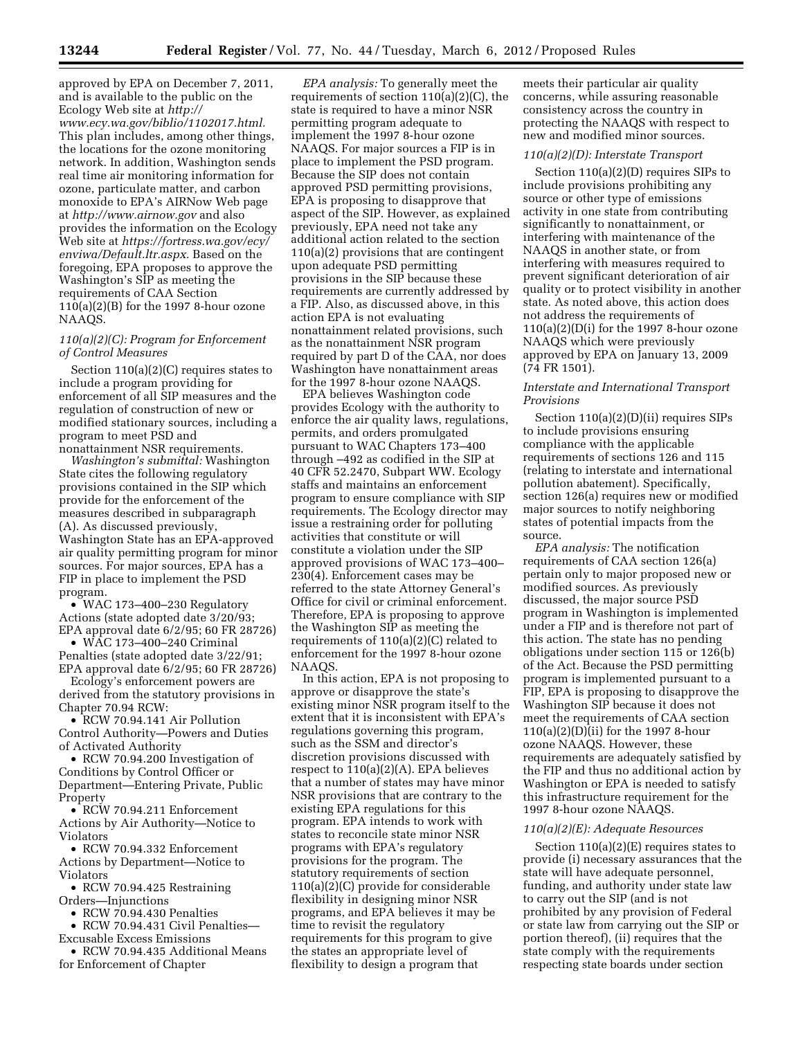approved by EPA on December 7, 2011, and is available to the public on the Ecology Web site at *http:// [www.ecy.wa.gov/biblio/1102017.html.](http://www.ecy.wa.gov/biblio/1102017.html)*  This plan includes, among other things, the locations for the ozone monitoring network. In addition, Washington sends real time air monitoring information for ozone, particulate matter, and carbon monoxide to EPA's AIRNow Web page at *<http://www.airnow.gov>*and also provides the information on the Ecology Web site at *[https://fortress.wa.gov/ecy/](http://fortress.wa.gov/scy/enviwa/Default.ltr.aspx) enviwa/Default.ltr.aspx.* Based on the foregoing, EPA proposes to approve the Washington's SIP as meeting the requirements of CAA Section 110(a)(2)(B) for the 1997 8-hour ozone NAAQS.

# *110(a)(2)(C): Program for Enforcement of Control Measures*

Section 110(a)(2)(C) requires states to include a program providing for enforcement of all SIP measures and the regulation of construction of new or modified stationary sources, including a program to meet PSD and nonattainment NSR requirements.

*Washington's submittal:* Washington State cites the following regulatory provisions contained in the SIP which provide for the enforcement of the measures described in subparagraph (A). As discussed previously, Washington State has an EPA-approved air quality permitting program for minor sources. For major sources, EPA has a FIP in place to implement the PSD program.

• WAC 173–400–230 Regulatory Actions (state adopted date 3/20/93; EPA approval date 6/2/95; 60 FR 28726)

• WAC 173–400–240 Criminal Penalties (state adopted date 3/22/91; EPA approval date 6/2/95; 60 FR 28726)

Ecology's enforcement powers are derived from the statutory provisions in Chapter 70.94 RCW:

• RCW 70.94.141 Air Pollution Control Authority—Powers and Duties of Activated Authority

• RCW 70.94.200 Investigation of Conditions by Control Officer or Department—Entering Private, Public Property

• RCW 70.94.211 Enforcement Actions by Air Authority—Notice to Violators

• RCW 70.94.332 Enforcement Actions by Department—Notice to Violators

• RCW 70.94.425 Restraining Orders—Injunctions

• RCW 70.94.430 Penalties

• RCW 70.94.431 Civil Penalties— Excusable Excess Emissions

• RCW 70.94.435 Additional Means for Enforcement of Chapter

*EPA analysis:* To generally meet the requirements of section 110(a)(2)(C), the state is required to have a minor NSR permitting program adequate to implement the 1997 8-hour ozone NAAQS. For major sources a FIP is in place to implement the PSD program. Because the SIP does not contain approved PSD permitting provisions, EPA is proposing to disapprove that aspect of the SIP. However, as explained previously, EPA need not take any additional action related to the section 110(a)(2) provisions that are contingent upon adequate PSD permitting provisions in the SIP because these requirements are currently addressed by a FIP. Also, as discussed above, in this action EPA is not evaluating nonattainment related provisions, such as the nonattainment NSR program required by part D of the CAA, nor does Washington have nonattainment areas for the 1997 8-hour ozone NAAQS.

EPA believes Washington code provides Ecology with the authority to enforce the air quality laws, regulations, permits, and orders promulgated pursuant to WAC Chapters 173–400 through –492 as codified in the SIP at 40 CFR 52.2470, Subpart WW. Ecology staffs and maintains an enforcement program to ensure compliance with SIP requirements. The Ecology director may issue a restraining order for polluting activities that constitute or will constitute a violation under the SIP approved provisions of WAC 173–400– 230(4). Enforcement cases may be referred to the state Attorney General's Office for civil or criminal enforcement. Therefore, EPA is proposing to approve the Washington SIP as meeting the requirements of 110(a)(2)(C) related to enforcement for the 1997 8-hour ozone NAAQS.

In this action, EPA is not proposing to approve or disapprove the state's existing minor NSR program itself to the extent that it is inconsistent with EPA's regulations governing this program, such as the SSM and director's discretion provisions discussed with respect to 110(a)(2)(A). EPA believes that a number of states may have minor NSR provisions that are contrary to the existing EPA regulations for this program. EPA intends to work with states to reconcile state minor NSR programs with EPA's regulatory provisions for the program. The statutory requirements of section 110(a)(2)(C) provide for considerable flexibility in designing minor NSR programs, and EPA believes it may be time to revisit the regulatory requirements for this program to give the states an appropriate level of flexibility to design a program that

meets their particular air quality concerns, while assuring reasonable consistency across the country in protecting the NAAQS with respect to new and modified minor sources.

### *110(a)(2)(D): Interstate Transport*

Section 110(a)(2)(D) requires SIPs to include provisions prohibiting any source or other type of emissions activity in one state from contributing significantly to nonattainment, or interfering with maintenance of the NAAQS in another state, or from interfering with measures required to prevent significant deterioration of air quality or to protect visibility in another state. As noted above, this action does not address the requirements of  $110(a)(2)(D(i)$  for the 1997 8-hour ozone NAAQS which were previously approved by EPA on January 13, 2009 (74 FR 1501).

# *Interstate and International Transport Provisions*

Section 110(a)(2)(D)(ii) requires SIPs to include provisions ensuring compliance with the applicable requirements of sections 126 and 115 (relating to interstate and international pollution abatement). Specifically, section 126(a) requires new or modified major sources to notify neighboring states of potential impacts from the source.

*EPA analysis:* The notification requirements of CAA section 126(a) pertain only to major proposed new or modified sources. As previously discussed, the major source PSD program in Washington is implemented under a FIP and is therefore not part of this action. The state has no pending obligations under section 115 or 126(b) of the Act. Because the PSD permitting program is implemented pursuant to a FIP, EPA is proposing to disapprove the Washington SIP because it does not meet the requirements of CAA section 110(a)(2)(D)(ii) for the 1997 8-hour ozone NAAQS. However, these requirements are adequately satisfied by the FIP and thus no additional action by Washington or EPA is needed to satisfy this infrastructure requirement for the 1997 8-hour ozone NAAQS.

# *110(a)(2)(E): Adequate Resources*

Section 110(a)(2)(E) requires states to provide (i) necessary assurances that the state will have adequate personnel, funding, and authority under state law to carry out the SIP (and is not prohibited by any provision of Federal or state law from carrying out the SIP or portion thereof), (ii) requires that the state comply with the requirements respecting state boards under section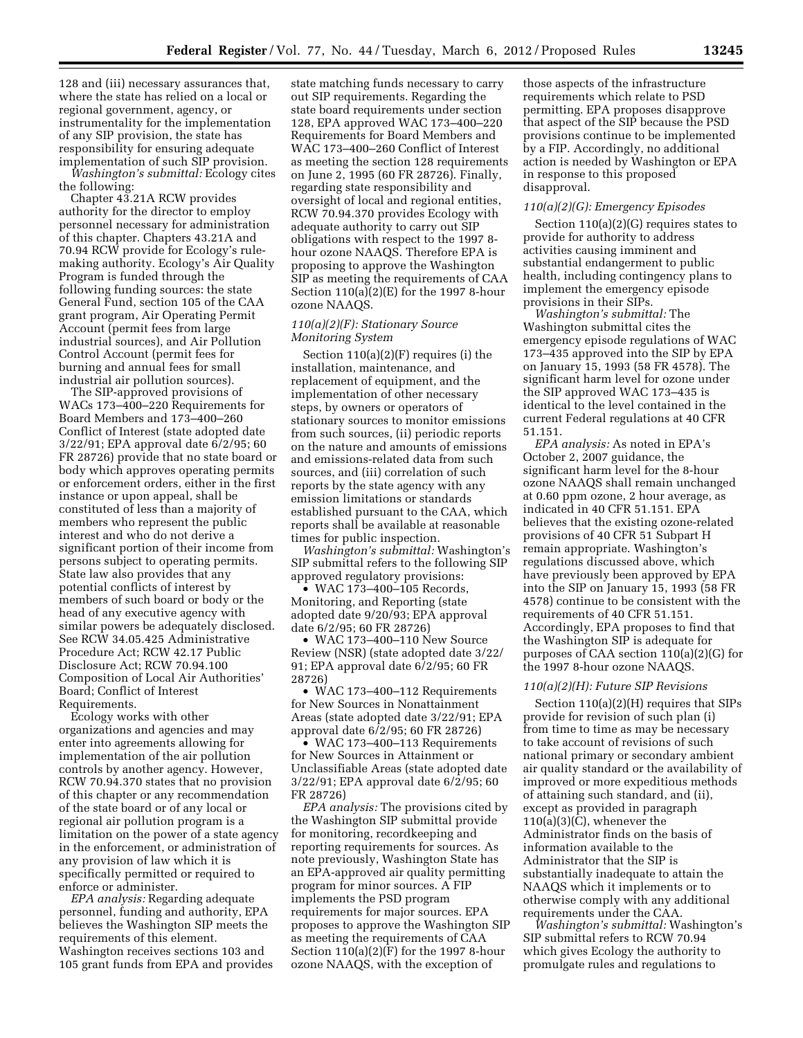128 and (iii) necessary assurances that, where the state has relied on a local or regional government, agency, or instrumentality for the implementation of any SIP provision, the state has responsibility for ensuring adequate implementation of such SIP provision.

*Washington's submittal:* Ecology cites the following:

Chapter 43.21A RCW provides authority for the director to employ personnel necessary for administration of this chapter. Chapters 43.21A and 70.94 RCW provide for Ecology's rulemaking authority. Ecology's Air Quality Program is funded through the following funding sources: the state General Fund, section 105 of the CAA grant program, Air Operating Permit Account (permit fees from large industrial sources), and Air Pollution Control Account (permit fees for burning and annual fees for small industrial air pollution sources).

The SIP-approved provisions of WACs 173–400–220 Requirements for Board Members and 173–400–260 Conflict of Interest (state adopted date 3/22/91; EPA approval date 6/2/95; 60 FR 28726) provide that no state board or body which approves operating permits or enforcement orders, either in the first instance or upon appeal, shall be constituted of less than a majority of members who represent the public interest and who do not derive a significant portion of their income from persons subject to operating permits. State law also provides that any potential conflicts of interest by members of such board or body or the head of any executive agency with similar powers be adequately disclosed. See RCW 34.05.425 Administrative Procedure Act; RCW 42.17 Public Disclosure Act; RCW 70.94.100 Composition of Local Air Authorities' Board; Conflict of Interest Requirements.

Ecology works with other organizations and agencies and may enter into agreements allowing for implementation of the air pollution controls by another agency. However, RCW 70.94.370 states that no provision of this chapter or any recommendation of the state board or of any local or regional air pollution program is a limitation on the power of a state agency in the enforcement, or administration of any provision of law which it is specifically permitted or required to enforce or administer.

*EPA analysis:* Regarding adequate personnel, funding and authority, EPA believes the Washington SIP meets the requirements of this element. Washington receives sections 103 and 105 grant funds from EPA and provides

state matching funds necessary to carry out SIP requirements. Regarding the state board requirements under section 128, EPA approved WAC 173–400–220 Requirements for Board Members and WAC 173–400–260 Conflict of Interest as meeting the section 128 requirements on June 2, 1995 (60 FR 28726). Finally, regarding state responsibility and oversight of local and regional entities, RCW 70.94.370 provides Ecology with adequate authority to carry out SIP obligations with respect to the 1997 8 hour ozone NAAQS. Therefore EPA is proposing to approve the Washington SIP as meeting the requirements of CAA Section 110(a)(2)(E) for the 1997 8-hour ozone NAAQS.

# *110(a)(2)(F): Stationary Source Monitoring System*

Section  $110(a)(2)(F)$  requires (i) the installation, maintenance, and replacement of equipment, and the implementation of other necessary steps, by owners or operators of stationary sources to monitor emissions from such sources, (ii) periodic reports on the nature and amounts of emissions and emissions-related data from such sources, and (iii) correlation of such reports by the state agency with any emission limitations or standards established pursuant to the CAA, which reports shall be available at reasonable times for public inspection.

*Washington's submittal:* Washington's SIP submittal refers to the following SIP approved regulatory provisions:

• WAC 173-400-105 Records, Monitoring, and Reporting (state adopted date 9/20/93; EPA approval date 6/2/95; 60 FR 28726)

• WAC 173–400–110 New Source Review (NSR) (state adopted date 3/22/ 91; EPA approval date 6/2/95; 60 FR 28726)

• WAC 173–400–112 Requirements for New Sources in Nonattainment Areas (state adopted date 3/22/91; EPA approval date 6/2/95; 60 FR 28726)

• WAC 173-400-113 Requirements for New Sources in Attainment or Unclassifiable Areas (state adopted date 3/22/91; EPA approval date 6/2/95; 60 FR 28726)

*EPA analysis:* The provisions cited by the Washington SIP submittal provide for monitoring, recordkeeping and reporting requirements for sources. As note previously, Washington State has an EPA-approved air quality permitting program for minor sources. A FIP implements the PSD program requirements for major sources. EPA proposes to approve the Washington SIP as meeting the requirements of CAA Section 110(a)(2)(F) for the 1997 8-hour ozone NAAQS, with the exception of

those aspects of the infrastructure requirements which relate to PSD permitting. EPA proposes disapprove that aspect of the SIP because the PSD provisions continue to be implemented by a FIP. Accordingly, no additional action is needed by Washington or EPA in response to this proposed disapproval.

### *110(a)(2)(G): Emergency Episodes*

Section 110(a)(2)(G) requires states to provide for authority to address activities causing imminent and substantial endangerment to public health, including contingency plans to implement the emergency episode provisions in their SIPs.

*Washington's submittal:* The Washington submittal cites the emergency episode regulations of WAC 173–435 approved into the SIP by EPA on January 15, 1993 (58 FR 4578). The significant harm level for ozone under the SIP approved WAC 173–435 is identical to the level contained in the current Federal regulations at 40 CFR 51.151.

*EPA analysis:* As noted in EPA's October 2, 2007 guidance, the significant harm level for the 8-hour ozone NAAQS shall remain unchanged at 0.60 ppm ozone, 2 hour average, as indicated in 40 CFR 51.151. EPA believes that the existing ozone-related provisions of 40 CFR 51 Subpart H remain appropriate. Washington's regulations discussed above, which have previously been approved by EPA into the SIP on January 15, 1993 (58 FR 4578) continue to be consistent with the requirements of 40 CFR 51.151. Accordingly, EPA proposes to find that the Washington SIP is adequate for purposes of CAA section 110(a)(2)(G) for the 1997 8-hour ozone NAAQS.

### *110(a)(2)(H): Future SIP Revisions*

Section 110(a)(2)(H) requires that SIPs provide for revision of such plan (i) from time to time as may be necessary to take account of revisions of such national primary or secondary ambient air quality standard or the availability of improved or more expeditious methods of attaining such standard, and (ii), except as provided in paragraph 110(a)(3)(C), whenever the Administrator finds on the basis of information available to the Administrator that the SIP is substantially inadequate to attain the NAAQS which it implements or to otherwise comply with any additional requirements under the CAA.

*Washington's submittal:* Washington's SIP submittal refers to RCW 70.94 which gives Ecology the authority to promulgate rules and regulations to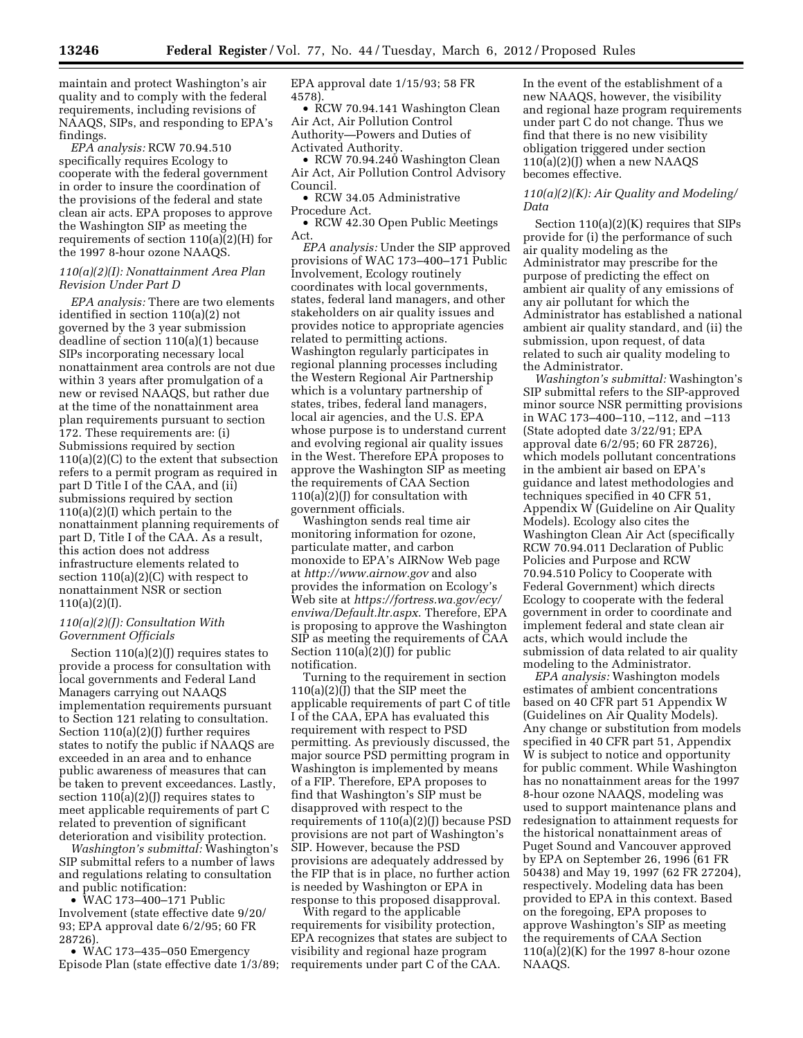maintain and protect Washington's air quality and to comply with the federal requirements, including revisions of NAAQS, SIPs, and responding to EPA's findings.

*EPA analysis:* RCW 70.94.510 specifically requires Ecology to cooperate with the federal government in order to insure the coordination of the provisions of the federal and state clean air acts. EPA proposes to approve the Washington SIP as meeting the requirements of section 110(a)(2)(H) for the 1997 8-hour ozone NAAQS.

# *110(a)(2)(I): Nonattainment Area Plan Revision Under Part D*

*EPA analysis:* There are two elements identified in section 110(a)(2) not governed by the 3 year submission deadline of section 110(a)(1) because SIPs incorporating necessary local nonattainment area controls are not due within 3 years after promulgation of a new or revised NAAQS, but rather due at the time of the nonattainment area plan requirements pursuant to section 172. These requirements are: (i) Submissions required by section  $110(a)(2)(C)$  to the extent that subsection refers to a permit program as required in part D Title I of the CAA, and (ii) submissions required by section 110(a)(2)(I) which pertain to the nonattainment planning requirements of part D, Title I of the CAA. As a result, this action does not address infrastructure elements related to section 110(a)(2)(C) with respect to nonattainment NSR or section  $110(a)(2)(I).$ 

# *110(a)(2)(J): Consultation With Government Officials*

Section 110(a)(2)(J) requires states to provide a process for consultation with local governments and Federal Land Managers carrying out NAAQS implementation requirements pursuant to Section 121 relating to consultation. Section 110(a)(2)(J) further requires states to notify the public if NAAQS are exceeded in an area and to enhance public awareness of measures that can be taken to prevent exceedances. Lastly, section  $110(a)(2)(J)$  requires states to meet applicable requirements of part C related to prevention of significant deterioration and visibility protection.

*Washington's submittal:* Washington's SIP submittal refers to a number of laws and regulations relating to consultation and public notification:

• WAC 173–400–171 Public Involvement (state effective date 9/20/ 93; EPA approval date 6/2/95; 60 FR 28726).

• WAC 173–435–050 Emergency Episode Plan (state effective date 1/3/89; EPA approval date 1/15/93; 58 FR 4578).

• RCW 70.94.141 Washington Clean Air Act, Air Pollution Control Authority—Powers and Duties of Activated Authority.

• RCW 70.94.240 Washington Clean Air Act, Air Pollution Control Advisory Council.

• RCW 34.05 Administrative Procedure Act.

• RCW 42.30 Open Public Meetings Act.

*EPA analysis:* Under the SIP approved provisions of WAC 173–400–171 Public Involvement, Ecology routinely coordinates with local governments, states, federal land managers, and other stakeholders on air quality issues and provides notice to appropriate agencies related to permitting actions. Washington regularly participates in regional planning processes including the Western Regional Air Partnership which is a voluntary partnership of states, tribes, federal land managers, local air agencies, and the U.S. EPA whose purpose is to understand current and evolving regional air quality issues in the West. Therefore EPA proposes to approve the Washington SIP as meeting the requirements of CAA Section  $110(a)\overline{(2)}$ (I) for consultation with government officials.

Washington sends real time air monitoring information for ozone, particulate matter, and carbon monoxide to EPA's AIRNow Web page at *<http://www.airnow.gov>*and also provides the information on Ecology's Web site at *[https://fortress.wa.gov/ecy/](http://www.fortress.wa.gov/ecy/enviwa/Default.ltr.aspx)  enviwa/Default.ltr.aspx*. Therefore, EPA is proposing to approve the Washington SIP as meeting the requirements of CAA Section 110(a)(2)(J) for public notification.

Turning to the requirement in section 110(a)(2)(J) that the SIP meet the applicable requirements of part C of title I of the CAA, EPA has evaluated this requirement with respect to PSD permitting. As previously discussed, the major source PSD permitting program in Washington is implemented by means of a FIP. Therefore, EPA proposes to find that Washington's SIP must be disapproved with respect to the requirements of 110(a)(2)(J) because PSD provisions are not part of Washington's SIP. However, because the PSD provisions are adequately addressed by the FIP that is in place, no further action is needed by Washington or EPA in response to this proposed disapproval.

With regard to the applicable requirements for visibility protection, EPA recognizes that states are subject to visibility and regional haze program requirements under part C of the CAA.

In the event of the establishment of a new NAAQS, however, the visibility and regional haze program requirements under part C do not change. Thus we find that there is no new visibility obligation triggered under section  $110(a)(2)(J)$  when a new NAAQS becomes effective.

# *110(a)(2)(K): Air Quality and Modeling/ Data*

Section 110(a)(2)(K) requires that SIPs provide for (i) the performance of such air quality modeling as the Administrator may prescribe for the purpose of predicting the effect on ambient air quality of any emissions of any air pollutant for which the Administrator has established a national ambient air quality standard, and (ii) the submission, upon request, of data related to such air quality modeling to the Administrator.

*Washington's submittal:* Washington's SIP submittal refers to the SIP-approved minor source NSR permitting provisions in WAC 173–400–110, –112, and –113 (State adopted date 3/22/91; EPA approval date 6/2/95; 60 FR 28726), which models pollutant concentrations in the ambient air based on EPA's guidance and latest methodologies and techniques specified in 40 CFR 51, Appendix W (Guideline on Air Quality Models). Ecology also cites the Washington Clean Air Act (specifically RCW 70.94.011 Declaration of Public Policies and Purpose and RCW 70.94.510 Policy to Cooperate with Federal Government) which directs Ecology to cooperate with the federal government in order to coordinate and implement federal and state clean air acts, which would include the submission of data related to air quality modeling to the Administrator.

*EPA analysis:* Washington models estimates of ambient concentrations based on 40 CFR part 51 Appendix W (Guidelines on Air Quality Models). Any change or substitution from models specified in 40 CFR part 51, Appendix W is subject to notice and opportunity for public comment. While Washington has no nonattainment areas for the 1997 8-hour ozone NAAQS, modeling was used to support maintenance plans and redesignation to attainment requests for the historical nonattainment areas of Puget Sound and Vancouver approved by EPA on September 26, 1996 (61 FR 50438) and May 19, 1997 (62 FR 27204), respectively. Modeling data has been provided to EPA in this context. Based on the foregoing, EPA proposes to approve Washington's SIP as meeting the requirements of CAA Section  $110(a)(2)(K)$  for the 1997 8-hour ozone NAAQS.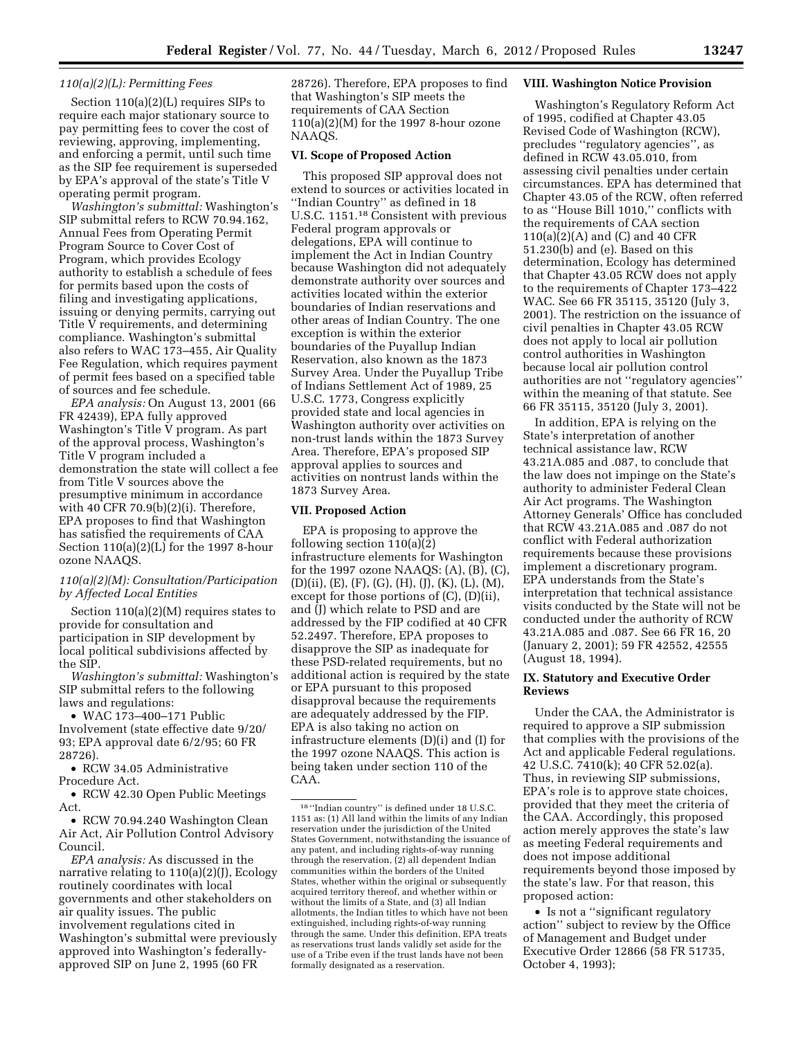### *110(a)(2)(L): Permitting Fees*

Section 110(a)(2)(L) requires SIPs to require each major stationary source to pay permitting fees to cover the cost of reviewing, approving, implementing, and enforcing a permit, until such time as the SIP fee requirement is superseded by EPA's approval of the state's Title V operating permit program.

*Washington's submittal:* Washington's SIP submittal refers to RCW 70.94.162, Annual Fees from Operating Permit Program Source to Cover Cost of Program, which provides Ecology authority to establish a schedule of fees for permits based upon the costs of filing and investigating applications, issuing or denying permits, carrying out Title V requirements, and determining compliance. Washington's submittal also refers to WAC 173–455, Air Quality Fee Regulation, which requires payment of permit fees based on a specified table of sources and fee schedule.

*EPA analysis:* On August 13, 2001 (66 FR 42439), EPA fully approved Washington's Title V program. As part of the approval process, Washington's Title V program included a demonstration the state will collect a fee from Title V sources above the presumptive minimum in accordance with 40 CFR 70.9(b)(2)(i). Therefore, EPA proposes to find that Washington has satisfied the requirements of CAA Section 110(a)(2)(L) for the 1997 8-hour ozone NAAQS.

#### *110(a)(2)(M): Consultation/Participation by Affected Local Entities*

Section 110(a)(2)(M) requires states to provide for consultation and participation in SIP development by local political subdivisions affected by the SIP.

*Washington's submittal:* Washington's SIP submittal refers to the following laws and regulations:

• WAC 173–400–171 Public Involvement (state effective date 9/20/ 93; EPA approval date 6/2/95; 60 FR 28726).

• RCW 34.05 Administrative Procedure Act.

• RCW 42.30 Open Public Meetings Act.

• RCW 70.94.240 Washington Clean Air Act, Air Pollution Control Advisory Council.

*EPA analysis:* As discussed in the narrative relating to 110(a)(2)(J), Ecology routinely coordinates with local governments and other stakeholders on air quality issues. The public involvement regulations cited in Washington's submittal were previously approved into Washington's federallyapproved SIP on June 2, 1995 (60 FR

28726). Therefore, EPA proposes to find that Washington's SIP meets the requirements of CAA Section 110(a)(2)(M) for the 1997 8-hour ozone NAAQS.

### **VI. Scope of Proposed Action**

This proposed SIP approval does not extend to sources or activities located in ''Indian Country'' as defined in 18 U.S.C. 1151.18 Consistent with previous Federal program approvals or delegations, EPA will continue to implement the Act in Indian Country because Washington did not adequately demonstrate authority over sources and activities located within the exterior boundaries of Indian reservations and other areas of Indian Country. The one exception is within the exterior boundaries of the Puyallup Indian Reservation, also known as the 1873 Survey Area. Under the Puyallup Tribe of Indians Settlement Act of 1989, 25 U.S.C. 1773, Congress explicitly provided state and local agencies in Washington authority over activities on non-trust lands within the 1873 Survey Area. Therefore, EPA's proposed SIP approval applies to sources and activities on nontrust lands within the 1873 Survey Area.

## **VII. Proposed Action**

EPA is proposing to approve the following section 110(a)(2) infrastructure elements for Washington for the 1997 ozone NAAQS: (A), (B), (C), (D)(ii), (E), (F), (G), (H), (J), (K), (L), (M), except for those portions of (C), (D)(ii), and (J) which relate to PSD and are addressed by the FIP codified at 40 CFR 52.2497. Therefore, EPA proposes to disapprove the SIP as inadequate for these PSD-related requirements, but no additional action is required by the state or EPA pursuant to this proposed disapproval because the requirements are adequately addressed by the FIP. EPA is also taking no action on infrastructure elements (D)(i) and (I) for the 1997 ozone NAAQS. This action is being taken under section 110 of the CAA.

#### **VIII. Washington Notice Provision**

Washington's Regulatory Reform Act of 1995, codified at Chapter 43.05 Revised Code of Washington (RCW), precludes ''regulatory agencies'', as defined in RCW 43.05.010, from assessing civil penalties under certain circumstances. EPA has determined that Chapter 43.05 of the RCW, often referred to as ''House Bill 1010,'' conflicts with the requirements of CAA section 110(a)(2)(A) and (C) and 40 CFR 51.230(b) and (e). Based on this determination, Ecology has determined that Chapter 43.05 RCW does not apply to the requirements of Chapter 173–422 WAC. See 66 FR 35115, 35120 (July 3, 2001). The restriction on the issuance of civil penalties in Chapter 43.05 RCW does not apply to local air pollution control authorities in Washington because local air pollution control authorities are not ''regulatory agencies'' within the meaning of that statute. See 66 FR 35115, 35120 (July 3, 2001).

In addition, EPA is relying on the State's interpretation of another technical assistance law, RCW 43.21A.085 and .087, to conclude that the law does not impinge on the State's authority to administer Federal Clean Air Act programs. The Washington Attorney Generals' Office has concluded that RCW 43.21A.085 and .087 do not conflict with Federal authorization requirements because these provisions implement a discretionary program. EPA understands from the State's interpretation that technical assistance visits conducted by the State will not be conducted under the authority of RCW 43.21A.085 and .087. See 66 FR 16, 20 (January 2, 2001); 59 FR 42552, 42555 (August 18, 1994).

# **IX. Statutory and Executive Order Reviews**

Under the CAA, the Administrator is required to approve a SIP submission that complies with the provisions of the Act and applicable Federal regulations. 42 U.S.C. 7410(k); 40 CFR 52.02(a). Thus, in reviewing SIP submissions, EPA's role is to approve state choices, provided that they meet the criteria of the CAA. Accordingly, this proposed action merely approves the state's law as meeting Federal requirements and does not impose additional requirements beyond those imposed by the state's law. For that reason, this proposed action:

• Is not a ''significant regulatory action'' subject to review by the Office of Management and Budget under Executive Order 12866 (58 FR 51735, October 4, 1993);

<sup>18</sup> ''Indian country'' is defined under 18 U.S.C. 1151 as: (1) All land within the limits of any Indian reservation under the jurisdiction of the United States Government, notwithstanding the issuance of any patent, and including rights-of-way running through the reservation, (2) all dependent Indian communities within the borders of the United States, whether within the original or subsequently acquired territory thereof, and whether within or without the limits of a State, and (3) all Indian allotments, the Indian titles to which have not been extinguished, including rights-of-way running through the same. Under this definition, EPA treats as reservations trust lands validly set aside for the use of a Tribe even if the trust lands have not been formally designated as a reservation.